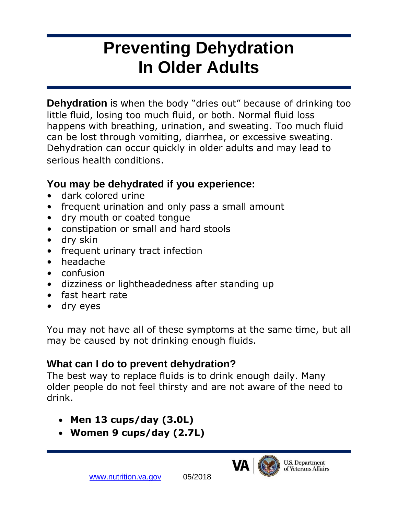# **Preventing Dehydration In Older Adults**

**Dehydration** is when the body "dries out" because of drinking too little fluid, losing too much fluid, or both. Normal fluid loss happens with breathing, urination, and sweating. Too much fluid can be lost through vomiting, diarrhea, or excessive sweating. Dehydration can occur quickly in older adults and may lead to serious health conditions.

#### **You may be dehydrated if you experience:**

- dark colored urine
- frequent urination and only pass a small amount
- dry mouth or coated tongue
- constipation or small and hard stools
- dry skin
- frequent urinary tract infection
- headache
- confusion
- dizziness or lightheadedness after standing up
- fast heart rate
- dry eyes

You may not have all of these symptoms at the same time, but all may be caused by not drinking enough fluids.

### **What can I do to prevent dehydration?**

The best way to replace fluids is to drink enough daily. Many older people do not feel thirsty and are not aware of the need to drink.

- **Men 13 cups/day (3.0L)**
- **Women 9 cups/day (2.7L)**